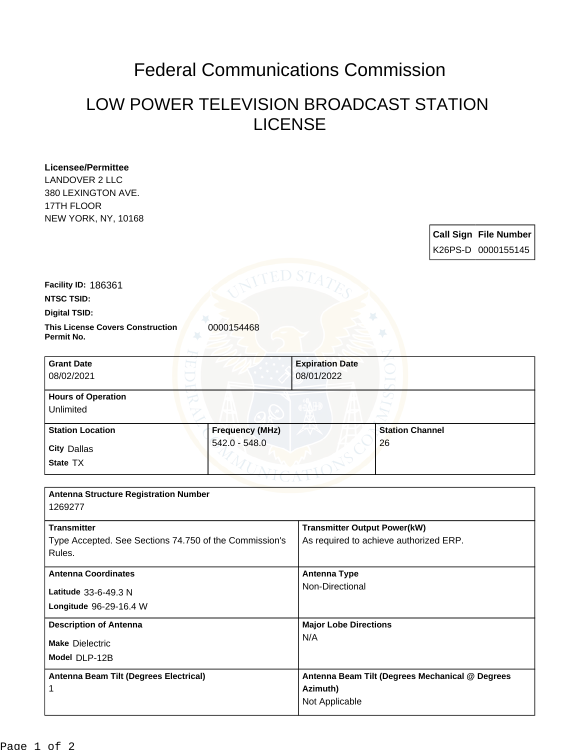## Federal Communications Commission

## LOW POWER TELEVISION BROADCAST STATION LICENSE

| <b>Licensee/Permittee</b><br><b>LANDOVER 2 LLC</b><br>380 LEXINGTON AVE. |                        |                                        |                        |                                                 |
|--------------------------------------------------------------------------|------------------------|----------------------------------------|------------------------|-------------------------------------------------|
| 17TH FLOOR<br><b>NEW YORK, NY, 10168</b>                                 |                        |                                        |                        |                                                 |
|                                                                          |                        |                                        |                        | <b>Call Sign File Number</b>                    |
|                                                                          |                        |                                        |                        | K26PS-D 0000155145                              |
|                                                                          | ED S7                  |                                        |                        |                                                 |
| Facility ID: 186361                                                      |                        |                                        |                        |                                                 |
| <b>NTSC TSID:</b><br><b>Digital TSID:</b>                                |                        |                                        |                        |                                                 |
| <b>This License Covers Construction</b><br>Permit No.                    | 0000154468             |                                        |                        |                                                 |
| <b>Grant Date</b>                                                        |                        | <b>Expiration Date</b>                 |                        |                                                 |
| 08/02/2021                                                               |                        | 08/01/2022                             |                        |                                                 |
| <b>Hours of Operation</b><br>Unlimited                                   |                        |                                        |                        |                                                 |
| <b>Station Location</b>                                                  | <b>Frequency (MHz)</b> |                                        | <b>Station Channel</b> |                                                 |
| <b>City Dallas</b>                                                       | 542.0 - 548.0          |                                        | 26                     |                                                 |
| State TX                                                                 |                        |                                        |                        |                                                 |
|                                                                          |                        |                                        |                        |                                                 |
| <b>Antenna Structure Registration Number</b><br>1269277                  |                        |                                        |                        |                                                 |
| <b>Transmitter</b>                                                       |                        | <b>Transmitter Output Power(kW)</b>    |                        |                                                 |
| Type Accepted. See Sections 74.750 of the Commission's<br>Rules.         |                        | As required to achieve authorized ERP. |                        |                                                 |
| <b>Antenna Coordinates</b>                                               |                        | <b>Antenna Type</b>                    |                        |                                                 |
| Latitude 33-6-49.3 N                                                     |                        | Non-Directional                        |                        |                                                 |
| Longitude 96-29-16.4 W                                                   |                        |                                        |                        |                                                 |
| <b>Description of Antenna</b>                                            |                        | <b>Major Lobe Directions</b>           |                        |                                                 |
| <b>Make Dielectric</b>                                                   |                        | N/A                                    |                        |                                                 |
| Model DLP-12B                                                            |                        |                                        |                        |                                                 |
| Antenna Beam Tilt (Degrees Electrical)                                   |                        |                                        |                        | Antenna Beam Tilt (Degrees Mechanical @ Degrees |
| 1                                                                        |                        | Azimuth)                               |                        |                                                 |
|                                                                          |                        | Not Applicable                         |                        |                                                 |